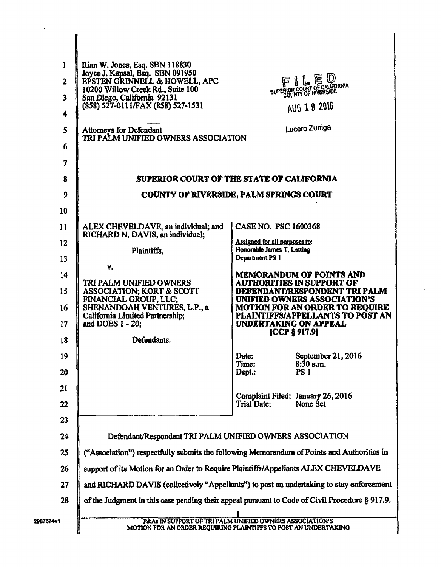| 1<br>$\overline{\mathbf{2}}$<br>$\overline{\mathbf{3}}$ | Rian W. Jones, Esq. SBN 118830<br>Joyce J. Kapsal, Esq. SBN 091950<br>EPSTEN GRINNELL & HOWELL, APC<br>10200 Willow Creek Rd., Suite 100<br>San Diego, California 92131 |                                                             | FILED<br>SUPERIOR COURT OF CALIFORNIA                                |
|---------------------------------------------------------|-------------------------------------------------------------------------------------------------------------------------------------------------------------------------|-------------------------------------------------------------|----------------------------------------------------------------------|
| 4                                                       | (858) 527-0111/FAX (858) 527-1531                                                                                                                                       |                                                             | AUG 19 2016                                                          |
| 5<br>6                                                  | Attorneys for Defendant<br>TRI PALM UNIFIED OWNERS ASSOCIATION                                                                                                          |                                                             | Lucero Zuniga                                                        |
|                                                         |                                                                                                                                                                         |                                                             |                                                                      |
| 7                                                       |                                                                                                                                                                         |                                                             |                                                                      |
| 8                                                       | SUPERIOR COURT OF THE STATE OF CALIFORNIA                                                                                                                               |                                                             |                                                                      |
| 9                                                       | <b>COUNTY OF RIVERSIDE, PALM SPRINGS COURT</b>                                                                                                                          |                                                             |                                                                      |
| 10                                                      |                                                                                                                                                                         |                                                             |                                                                      |
| 11                                                      | ALEX CHEVELDAVE, an individual; and<br>RICHARD N. DAVIS, an individual;                                                                                                 | CASE NO. PSC 1600368                                        |                                                                      |
| $12 \overline{ }$                                       | Plaintiffs.                                                                                                                                                             | Assigned for all purposes to:<br>Honorable James T. Latting |                                                                      |
| 13                                                      | v.                                                                                                                                                                      | Department PS 1                                             |                                                                      |
| 14                                                      | TRI PALM UNIFIED OWNERS                                                                                                                                                 |                                                             | <b>MEMORANDUM OF POINTS AND</b><br><b>AUTHORITIES IN SUPPORT OF</b>  |
| 15                                                      | ASSOCIATION; KORT & SCOTT<br>FINANCIAL GROUP, LLC;                                                                                                                      |                                                             | DEFENDANT/RESPONDENT TRI PALM<br><b>UNIFIED OWNERS ASSOCIATION'S</b> |
| 16                                                      | SHENANDOAH VENTURES, L.P., a<br>California Limited Partnership;                                                                                                         |                                                             | MOTION FOR AN ORDER TO REQUIRE<br>PLAINTIFFS/APPELLANTS TO POST AN   |
| 17                                                      | and DOES 1 - 20:                                                                                                                                                        | UNDERTAKING ON APPEAL                                       | [CCP § 917.9]                                                        |
| 18                                                      | Defendants.                                                                                                                                                             |                                                             |                                                                      |
| 19                                                      |                                                                                                                                                                         | Date:<br>Time:                                              | September 21, 2016<br>$8:30$ a.m.                                    |
| 20                                                      |                                                                                                                                                                         | Dept:                                                       | <b>PS 1</b>                                                          |
| 21                                                      |                                                                                                                                                                         |                                                             | Complaint Filed: January 26, 2016                                    |
| 22                                                      |                                                                                                                                                                         | Trial Date:                                                 | None Set                                                             |
| 23                                                      |                                                                                                                                                                         |                                                             |                                                                      |
| 24                                                      | Defendant/Respondent TRI PALM UNIFIED OWNERS ASSOCIATION                                                                                                                |                                                             |                                                                      |
| 25                                                      | ("Association") respectfully submits the following Memorandum of Points and Authorities in                                                                              |                                                             |                                                                      |
| 26                                                      | support of its Motion for an Order to Require Plaintiffs/Appellants ALEX CHEVELDAVE                                                                                     |                                                             |                                                                      |
| 27                                                      | and RICHARD DAVIS (collectively "Appellants") to post an undertaking to stay enforcement                                                                                |                                                             |                                                                      |
| 28                                                      | of the Judgment in this case pending their appeal pursuant to Code of Civil Procedure § 917.9.                                                                          |                                                             |                                                                      |
| 2987674v1                                               | P&As IN SUPPORT OF TRI PALM UNIFIED OWNERS ASSOCIATION'S<br>MOTION FOR AN ORDER REQUIRING PLAINTIFFS TO POST AN UNDERTAKING                                             |                                                             |                                                                      |

 $\ddot{\phantom{a}}$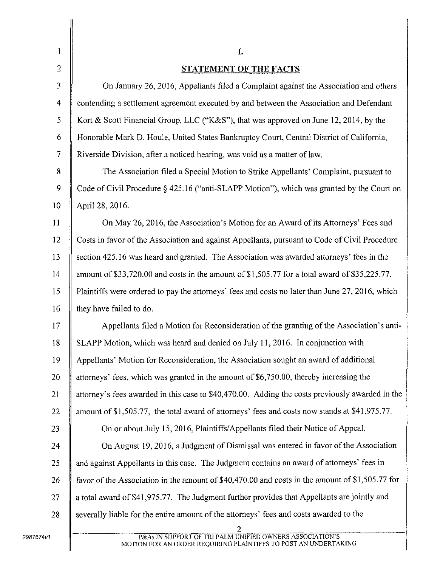| 1              | I.                                                                                              |
|----------------|-------------------------------------------------------------------------------------------------|
| $\overline{2}$ | <b>STATEMENT OF THE FACTS</b>                                                                   |
| 3              | On January 26, 2016, Appellants filed a Complaint against the Association and others            |
| 4              | contending a settlement agreement executed by and between the Association and Defendant         |
| 5              | Kort & Scott Financial Group, LLC ("K&S"), that was approved on June 12, 2014, by the           |
| 6              | Honorable Mark D. Houle, United States Bankruptcy Court, Central District of California,        |
| $\overline{7}$ | Riverside Division, after a noticed hearing, was void as a matter of law.                       |
| 8              | The Association filed a Special Motion to Strike Appellants' Complaint, pursuant to             |
| 9              | Code of Civil Procedure § 425.16 ("anti-SLAPP Motion"), which was granted by the Court on       |
| 10             | April 28, 2016.                                                                                 |
| 11             | On May 26, 2016, the Association's Motion for an Award of its Attorneys' Fees and               |
| 12             | Costs in favor of the Association and against Appellants, pursuant to Code of Civil Procedure   |
| 13             | section 425.16 was heard and granted. The Association was awarded attorneys' fees in the        |
| 14             | amount of \$33,720.00 and costs in the amount of \$1,505.77 for a total award of \$35,225.77.   |
| 15             | Plaintiffs were ordered to pay the attorneys' fees and costs no later than June 27, 2016, which |
| 16             | they have failed to do.                                                                         |
| 17             | Appellants filed a Motion for Reconsideration of the granting of the Association's anti-        |
| 18             | SLAPP Motion, which was heard and denied on July 11, 2016. In conjunction with                  |
| 19             | Appellants' Motion for Reconsideration, the Association sought an award of additional           |
| 20             | attorneys' fees, which was granted in the amount of \$6,750.00, thereby increasing the          |
| 21             | attorney's fees awarded in this case to \$40,470.00. Adding the costs previously awarded in the |
| 22             | amount of \$1,505.77, the total award of attorneys' fees and costs now stands at \$41,975.77.   |
| 23             | On or about July 15, 2016, Plaintiffs/Appellants filed their Notice of Appeal.                  |
| 24             | On August 19, 2016, a Judgment of Dismissal was entered in favor of the Association             |
| 25             | and against Appellants in this case. The Judgment contains an award of attorneys' fees in       |
| 26             | favor of the Association in the amount of \$40,470.00 and costs in the amount of \$1,505.77 for |
| 27             | a total award of \$41,975.77. The Judgment further provides that Appellants are jointly and     |
| 28             | severally liable for the entire amount of the attorneys' fees and costs awarded to the          |
|                | P&As IN SUPPORT OF TRI PALM UNIFIED OWNERS ASSOCIATION'S                                        |
|                | MOTION FOR AN ORDER REQUIRING PLAINTIFFS TO POST AN UNDERTAKING                                 |

MOTION FOR AN ORDER REQUIRING PLAINTIFFS TO POST AN UNDERTAKING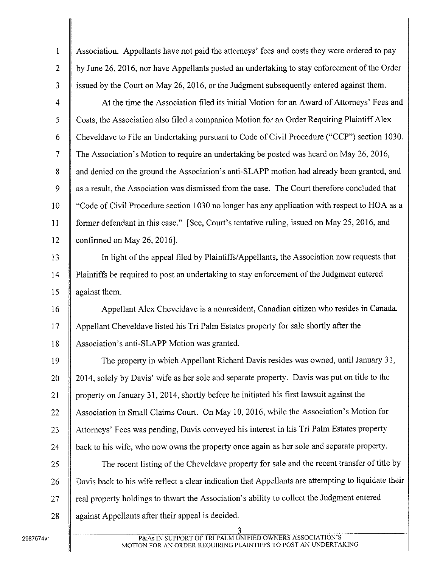| 1              | Association. Appellants have not paid the attorneys' fees and costs they were ordered to pay        |
|----------------|-----------------------------------------------------------------------------------------------------|
| $\overline{2}$ | by June 26, 2016, nor have Appellants posted an undertaking to stay enforcement of the Order        |
| 3              | issued by the Court on May 26, 2016, or the Judgment subsequently entered against them.             |
| 4              | At the time the Association filed its initial Motion for an Award of Attorneys' Fees and            |
| 5              | Costs, the Association also filed a companion Motion for an Order Requiring Plaintiff Alex          |
| 6              | Cheveldave to File an Undertaking pursuant to Code of Civil Procedure ("CCP") section 1030.         |
| $\overline{7}$ | The Association's Motion to require an undertaking be posted was heard on May 26, 2016,             |
| 8              | and denied on the ground the Association's anti-SLAPP motion had already been granted, and          |
| 9              | as a result, the Association was dismissed from the case. The Court therefore concluded that        |
| 10             | "Code of Civil Procedure section 1030 no longer has any application with respect to HOA as a        |
| 11             | former defendant in this case." [See, Court's tentative ruling, issued on May 25, 2016, and         |
| 12             | confirmed on May 26, 2016].                                                                         |
| 13             | In light of the appeal filed by Plaintiffs/Appellants, the Association now requests that            |
| 14             | Plaintiffs be required to post an undertaking to stay enforcement of the Judgment entered           |
| 15             | against them.                                                                                       |
| 16             | Appellant Alex Cheveldave is a nonresident, Canadian citizen who resides in Canada.                 |
| 17             | Appellant Cheveldave listed his Tri Palm Estates property for sale shortly after the                |
| 18             | Association's anti-SLAPP Motion was granted.                                                        |
| 19             | The property in which Appellant Richard Davis resides was owned, until January 31,                  |
| 20             | 2014, solely by Davis' wife as her sole and separate property. Davis was put on title to the        |
| 21             | property on January 31, 2014, shortly before he initiated his first lawsuit against the             |
| 22             | Association in Small Claims Court. On May 10, 2016, while the Association's Motion for              |
| 23             | Attorneys' Fees was pending, Davis conveyed his interest in his Tri Palm Estates property           |
| 24             | back to his wife, who now owns the property once again as her sole and separate property.           |
| 25             | The recent listing of the Cheveldave property for sale and the recent transfer of title by          |
| 26             | Davis back to his wife reflect a clear indication that Appellants are attempting to liquidate their |
| 27             | real property holdings to thwart the Association's ability to collect the Judgment entered          |
| 28             | against Appellants after their appeal is decided.                                                   |
|                | 3.                                                                                                  |

P&As IN SUPPORT OF TRI PALM UNIFIED OWNERS ASSOCIATION'S MOTION FOR AN ORDER REQUIRING PLAINTIFFS TO POST AN UNDERTAKING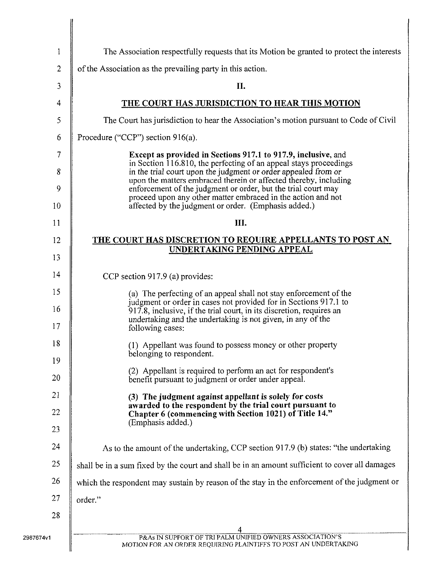| 1            | The Association respectfully requests that its Motion be granted to protect the interests                                                                                                               |
|--------------|---------------------------------------------------------------------------------------------------------------------------------------------------------------------------------------------------------|
| $\mathbf{2}$ | of the Association as the prevailing party in this action.                                                                                                                                              |
| 3            | II.                                                                                                                                                                                                     |
| 4            | THE COURT HAS JURISDICTION TO HEAR THIS MOTION                                                                                                                                                          |
| 5            | The Court has jurisdiction to hear the Association's motion pursuant to Code of Civil                                                                                                                   |
| 6            | Procedure ("CCP") section $916(a)$ .                                                                                                                                                                    |
| 7            | Except as provided in Sections 917.1 to 917.9, inclusive, and                                                                                                                                           |
| 8            | in Section 116.810, the perfecting of an appeal stays proceedings<br>in the trial court upon the judgment or order appealed from or                                                                     |
| 9            | upon the matters embraced therein or affected thereby, including<br>enforcement of the judgment or order, but the trial court may<br>proceed upon any other matter embraced in the action and not       |
| 10           | affected by the judgment or order. (Emphasis added.)                                                                                                                                                    |
| 11           | III.                                                                                                                                                                                                    |
| 12           | <b>THE COURT HAS DISCRETION TO REQUIRE APPELLANTS TO POST AN</b><br><b>UNDERTAKING PENDING APPEAL</b>                                                                                                   |
| 13           |                                                                                                                                                                                                         |
| 14           | CCP section 917.9 (a) provides:                                                                                                                                                                         |
| 15           | (a) The perfecting of an appeal shall not stay enforcement of the                                                                                                                                       |
| 16           | judgment or order in cases not provided for in Sections 917.1 to<br>917.8, inclusive, if the trial court, in its discretion, requires an<br>undertaking and the undertaking is not given, in any of the |
| 17           | following cases:                                                                                                                                                                                        |
| 18           | (1) Appellant was found to possess money or other property<br>belonging to respondent.                                                                                                                  |
| 19           | (2) Appellant is required to perform an act for respondent's                                                                                                                                            |
| 20           | benefit pursuant to judgment or order under appeal.                                                                                                                                                     |
| 21           | (3) The judgment against appellant is solely for costs<br>awarded to the respondent by the trial court pursuant to                                                                                      |
| 22           | Chapter 6 (commencing with Section 1021) of Title 14."<br>(Emphasis added.)                                                                                                                             |
| 23           |                                                                                                                                                                                                         |
| 24           | As to the amount of the undertaking, CCP section 917.9 (b) states: "the undertaking                                                                                                                     |
| 25           | shall be in a sum fixed by the court and shall be in an amount sufficient to cover all damages                                                                                                          |
| 26           | which the respondent may sustain by reason of the stay in the enforcement of the judgment or                                                                                                            |
| 27           | order."                                                                                                                                                                                                 |
| 28           |                                                                                                                                                                                                         |
|              | 4<br>P&As IN SUPPORT OF TRI PALM UNIFIED OWNERS ASSOCIATION'S                                                                                                                                           |
|              | MOTION FOR AN ORDER REQUIRING PLAINTIFFS TO POST AN UNDERTAKING                                                                                                                                         |

H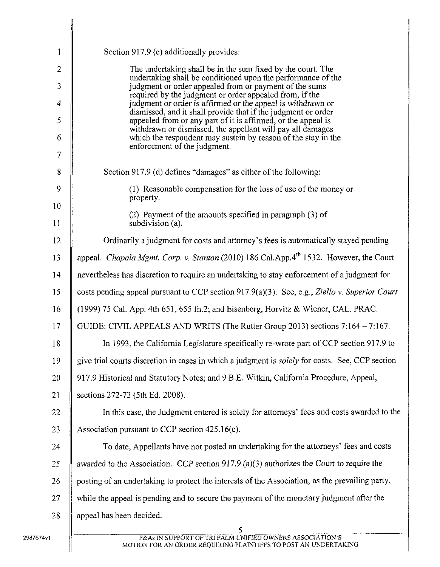| 1              | Section 917.9 (c) additionally provides:                                                                                     |
|----------------|------------------------------------------------------------------------------------------------------------------------------|
| $\overline{2}$ | The undertaking shall be in the sum fixed by the court. The<br>undertaking shall be conditioned upon the performance of the  |
| 3              | judgment or order appealed from or payment of the sums<br>required by the judgment or order appealed from, if the            |
| $\overline{4}$ | judgment or order is affirmed or the appeal is withdrawn or<br>dismissed, and it shall provide that if the judgment or order |
| 5              | appealed from or any part of it is affirmed, or the appeal is<br>withdrawn or dismissed, the appellant will pay all damages  |
| 6              | which the respondent may sustain by reason of the stay in the<br>enforcement of the judgment.                                |
| 7              |                                                                                                                              |
| 8              | Section 917.9 (d) defines "damages" as either of the following:                                                              |
| 9              | (1) Reasonable compensation for the loss of use of the money or<br>property.                                                 |
| 10             | (2) Payment of the amounts specified in paragraph (3) of                                                                     |
| 11             | subdivision (a).                                                                                                             |
| 12             | Ordinarily a judgment for costs and attorney's fees is automatically stayed pending                                          |
| 13             | appeal. Chapala Mgmt. Corp. v. Stanton (2010) 186 Cal.App.4 <sup>th</sup> 1532. However, the Court                           |
| 14             | nevertheless has discretion to require an undertaking to stay enforcement of a judgment for                                  |
| 15             | costs pending appeal pursuant to CCP section 917.9(a)(3). See, e.g., Ziello v. Superior Court                                |
| 16             | (1999) 75 Cal. App. 4th 651, 655 fn.2; and Eisenberg, Horvitz & Wiener, CAL. PRAC.                                           |
| 17             | GUIDE: CIVIL APPEALS AND WRITS (The Rutter Group 2013) sections 7:164 – 7:167.                                               |
| 18             | In 1993, the California Legislature specifically re-wrote part of CCP section 917.9 to                                       |
| 19             | give trial courts discretion in cases in which a judgment is solely for costs. See, CCP section                              |
| 20             | 917.9 Historical and Statutory Notes; and 9 B.E. Witkin, California Procedure, Appeal,                                       |
| 21             | sections 272-73 (5th Ed. 2008).                                                                                              |
| 22             | In this case, the Judgment entered is solely for attorneys' fees and costs awarded to the                                    |
| 23             | Association pursuant to CCP section 425.16(c).                                                                               |
| 24             | To date, Appellants have not posted an undertaking for the attorneys' fees and costs                                         |
| 25             | awarded to the Association. CCP section 917.9 (a)(3) authorizes the Court to require the                                     |
| 26             | posting of an undertaking to protect the interests of the Association, as the prevailing party,                              |
| 27             | while the appeal is pending and to secure the payment of the monetary judgment after the                                     |
| 28             | appeal has been decided.                                                                                                     |
|                |                                                                                                                              |
|                | P&As IN SUPPORT OF TRI PALM UNIFIED OWNERS ASSOCIATION'S<br>MOTION FOR AN ORDER REQUIRING PLAINTIFFS TO POST AN UNDERTAKING  |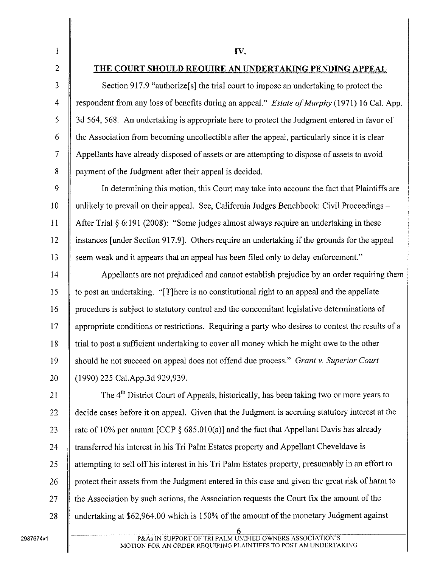$\begin{array}{c|c|c|c} 1 & & & & & & & & & \end{array}$ 

3

4

5

6

7

8

## 2 THE COURT SHOULD REQUIRE AN UNDERTAKING PENDING APPEAL

Section 917.9 "authorize<sup>[s]</sup> the trial court to impose an undertaking to protect the respondent from any loss of benefits during an appeal." *Estate of Murphy* (1971) 16 Cal. App. 3d 564, 568. An undertaking is appropriate here to protect the Judgment entered in favor of the Association from becoming uncollectible after the appeal, particularly since it is clear Appellants have already disposed of assets or are attempting to dispose of assets to avoid payment of the Judgment after their appeal is decided.

In determining this motion, this Court may take into account the fact that Plaintiffs are unlikely to prevail on their appeal. See, California Judges Benchbook: Civil Proceedings – After Trial § 6:191 (2008): "Some judges almost always require an undertaking in these instances [under Section 917.9]. Others require an undertaking if the grounds for the appeal 13 Seem weak and it appears that an appeal has been filed only to delay enforcement."  $\mathbf Q$ 10 11 12

Appellants are not prejudiced and cannot establish prejudice by an order requiring them to post an undertaking. "[TJhere is no constitutional right to an appeal and the appellate procedure is subject to statutory control and the concomitant legislative determinations of appropriate conditions or restrictions. Requiring a party who desires to contest the results of a trial to post a sufficient undertaking to cover all money which he might owe to the other should he not succeed on appeal does not offend due process." *Grant* v. *Superior Court* (1990) 225 Cal.App.3d 929,939. 14 15 16 17 18 19 20

The 4<sup>th</sup> District Court of Appeals, historically, has been taking two or more years to decide cases before it on appeal. Given that the Judgment is accruing statutory interest at the rate of 10% per annum [CCP  $\S$  685.010(a)] and the fact that Appellant Davis has already transferred his interest in his Tri Palm Estates property and Appellant Cheveldave is attempting to sell off his interest in his Tri Palm Estates property, presumably in an effort to protect their assets from the Judgment entered in this case and given the great risk of harm to the Association by such actions, the Association requests the Court fix the amount of the undertaking at  $$62,964.00$  which is 150% of the amount of the monetary Judgment against 21 22 23 24 25 26 27 28